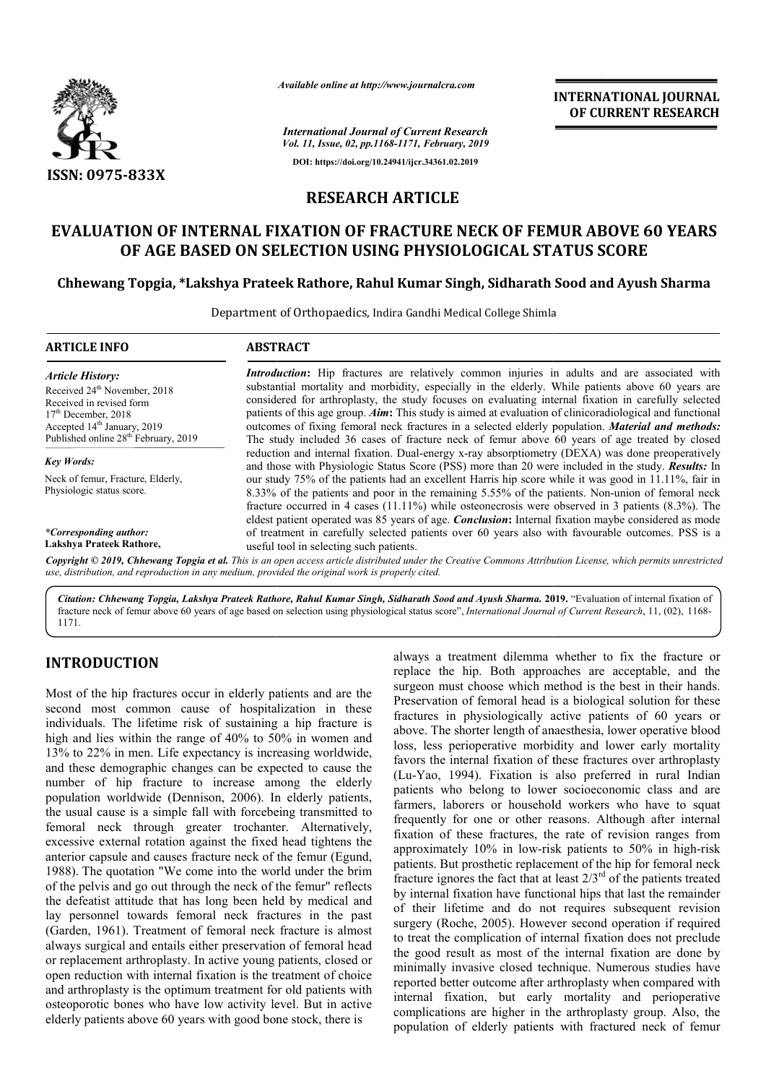

*Available online at http://www.journalcra.com*

*International Journal of Current Research Vol. 11, Issue, 02, pp.1168-1171, February, 2019* **DOI: https://doi.org/10.24941/ijcr.34361.02.2019**

## **INTERNATIONAL JOURNAL OF CURRENT RESEARCH**

# **RESEARCH ARTICLE**

# **EVALUATION OF INTERNAL FIXATION OF FRACTURE NECK OF FEMUR ABOVE 60 YEARS**  TION OF INTERNAL FIXATION OF FRACTURE NECK OF FEMUR ABOVE (<br>OF AGE BASED ON SELECTION USING PHYSIOLOGICAL STATUS SCORE

### **Chhewang Topgia, \*Lakshya Prateek Rathore, Rahul Kumar Singh, Sidharath Sood and Ayush Sharma Chhewang Topgia, \*Lakshya Prateek Sharma**

Department of Orthopaedics, Indira Gandhi Medical College Shimla

| <b>ARTICLE INFO</b>                                | <b>ABSTRACT</b>                                                                                                                                                                                                                                                                                                          |
|----------------------------------------------------|--------------------------------------------------------------------------------------------------------------------------------------------------------------------------------------------------------------------------------------------------------------------------------------------------------------------------|
| <b>Article History:</b>                            | Introduction: Hip fractures are relatively common injuries in adults and are associated with                                                                                                                                                                                                                             |
| Received 24 <sup>th</sup> November, 2018           | substantial mortality and morbidity, especially in the elderly. While patients above 60 years are                                                                                                                                                                                                                        |
| Received in revised form                           | considered for arthroplasty, the study focuses on evaluating internal fixation in carefully selected                                                                                                                                                                                                                     |
| $17th$ December, 2018                              | patients of this age group. $Aim$ : This study is aimed at evaluation of clinicoradiological and functional                                                                                                                                                                                                              |
| Accepted 14 <sup>th</sup> January, 2019            | outcomes of fixing femoral neck fractures in a selected elderly population. Material and methods:                                                                                                                                                                                                                        |
| Published online 28 <sup>th</sup> February, 2019   | The study included 36 cases of fracture neck of femur above 60 years of age treated by closed                                                                                                                                                                                                                            |
| <b>Key Words:</b>                                  | reduction and internal fixation. Dual-energy x-ray absorptiometry (DEXA) was done preoperatively<br>and those with Physiologic Status Score (PSS) more than 20 were included in the study. <b>Results:</b> In                                                                                                            |
| Neck of femur, Fracture, Elderly,                  | our study 75% of the patients had an excellent Harris hip score while it was good in 11.11%, fair in                                                                                                                                                                                                                     |
| Physiologic status score.                          | 8.33% of the patients and poor in the remaining 5.55% of the patients. Non-union of femoral neck<br>fracture occurred in 4 cases (11.11%) while osteonecrosis were observed in 3 patients $(8.3\%)$ . The<br>eldest patient operated was 85 years of age. <i>Conclusion</i> : Internal fixation maybe considered as mode |
| *Corresponding author:<br>Lakshya Prateek Rathore, | of treatment in carefully selected patients over 60 years also with favourable outcomes. PSS is a                                                                                                                                                                                                                        |
|                                                    | useful tool in selecting such patients.                                                                                                                                                                                                                                                                                  |
|                                                    | Copyright © 2019, Chhewang Topgia et al. This is an open access article distributed under the Creative Commons Attribution License, which permits unrestricted<br>use, distribution, and reproduction in any medium, provided the original work is properly cited.                                                       |

*Citation: Chhewang Topgia, Lakshya Prateek Rathore, Rahul Kumar Singh, Sidharath Sood and Ayush Sharma Sharma.* **2019. 2019.** "Evaluation of internal fixation of fracture neck of femur above 60 years of age based on selection using physiological status score", *International Journal of Current Research*, 11, (02), 1168-1171.

### **INTRODUCTION**

Most of the hip fractures occur in elderly patients and are the second most common cause of hospitalization in these individuals. The lifetime risk of sustaining a hip fracture is high and lies within the range of 40% to 50% in women and 13% to 22% in men. Life expectancy is increasing worldwide, and these demographic changes can be expected to cause the number of hip fracture to increase among the elderly population worldwide (Dennison, 2006). In elderly the usual cause is a simple fall with forcebeing transmitted to femoral neck through greater trochanter. Alternatively, excessive external rotation against the fixed head tightens the anterior capsule and causes fracture neck of the femur (Egund, 1988). The quotation "We come into the world under the brim of the pelvis and go out through the neck of the femur" reflects the defeatist attitude that has long been held by medical and lay personnel towards femoral neck fractures in the past (Garden, 1961). Treatment of femoral neck fracture is almost always surgical and entails either preservation of femoral head or replacement arthroplasty. In active young patients, closed or open reduction with internal fixation is the treatment of choice and arthroplasty is the optimum treatment for old patients with osteoporotic bones who have low activity level. But in elderly patients above 60 years with good bone stock, there is pectancy is increasing worldwide,<br>ges can be expected to cause the<br>to increase among the elderly<br>nison, 2006). In elderly patients, surgical and entails either preservation of femoral head<br>cement arthroplasty. In active young patients, closed or<br>duction with internal fixation is the treatment of choice<br>rroplasty is the optimum treatment for old patient always a treatment dilemma whether to fix the fracture or replace the hip. Both approaches are acceptable, and the surgeon must choose which method is the best in their hands. Preservation of femoral head is a biological solution for these fractures in physiologically active patients of 60 years or above. The shorter length of anaesthesia, lower operative blood loss, less perioperative morbidity and lower early mortality loss, less perioperative morbidity and lower early mortality favors the internal fixation of these fractures over arthroplasty (Lu-Yao, 1994). Fixation is also preferred in rural Indian patients who belong to lower socioeconomic class and are farmers, laborers or household workers who have to squat frequently for one or other reasons. Although after internal fixation of these fractures, the rate of revision ranges from approximately 10% in low-risk patients to 50% in high-risk patients. But prosthetic replacement of the hip for femoral neck fracture ignores the fact that at least  $2/3<sup>rd</sup>$  of the patients treated by internal fixation have functional hips that last the remainder of their lifetime and do not requires subsequent revision surgery (Roche, 2005). However second operation if required to treat the complication of internal fixation does not preclude the good result as most of the internal fixation are done by minimally invasive closed technique. Numerous studies have reported better outcome after arthroplasty when compared with internal fixation, but early mortality and perioperative internal fixation, but early mortality and perioperative complications are higher in the arthroplasty group. Also, the population of elderly patients with fractured neck of femur Preservation of femoral head is a biological solution for these fractures in physiologically active patients of 60 years or above. The shorter length of anaesthesia, lower operative blood g to lower socioeconomic class and are<br>r household workers who have to squat<br>or other reasons. Although after internal<br>actures, the rate of revision ranges from fixation have functional hips that last the remainder<br>fetime and do not requires subsequent revision<br>oche, 2005). However second operation if required to treat the complication of internal fixation does not preclude the good result as most of the internal fixation are done by minimally invasive closed technique. Numerous studies have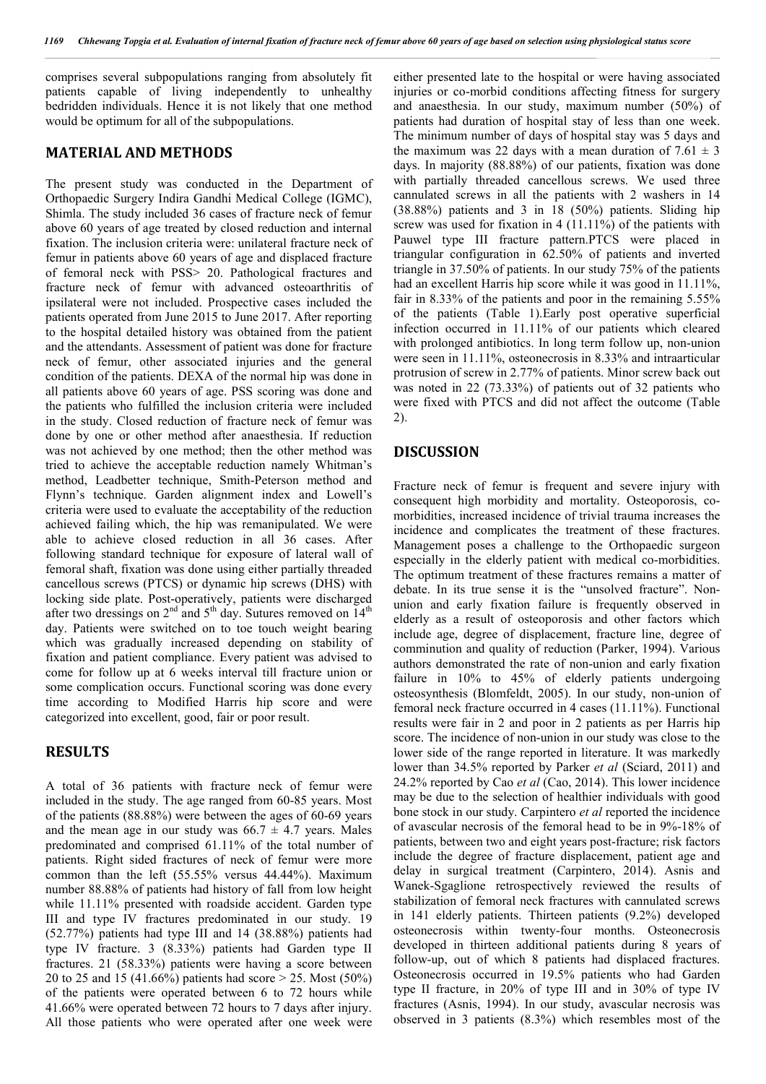comprises several subpopulations ranging from absolutely fit patients capable of living independently to unhealthy bedridden individuals. Hence it is not likely that one method would be optimum for all of the subpopulations.

#### **MATERIAL AND METHODS**

The present study was conducted in the Department of Orthopaedic Surgery Indira Gandhi Medical College (IGMC), Shimla. The study included 36 cases of fracture neck of femur above 60 years of age treated by closed reduction and internal fixation. The inclusion criteria were: unilateral fracture neck of femur in patients above 60 years of age and displaced fracture of femoral neck with PSS> 20. Pathological fractures and fracture neck of femur with advanced osteoarthritis of ipsilateral were not included. Prospective cases included the patients operated from June 2015 to June 2017. After reporting to the hospital detailed history was obtained from the patient and the attendants. Assessment of patient was done for fracture neck of femur, other associated injuries and the general condition of the patients. DEXA of the normal hip was done in all patients above 60 years of age. PSS scoring was done and the patients who fulfilled the inclusion criteria were included in the study. Closed reduction of fracture neck of femur was done by one or other method after anaesthesia. If reduction was not achieved by one method; then the other method was tried to achieve the acceptable reduction namely Whitman's method, Leadbetter technique, Smith-Peterson method and Flynn's technique. Garden alignment index and Lowell's criteria were used to evaluate the acceptability of the reduction achieved failing which, the hip was remanipulated. We were able to achieve closed reduction in all 36 cases. After following standard technique for exposure of lateral wall of femoral shaft, fixation was done using either partially threaded cancellous screws (PTCS) or dynamic hip screws (DHS) with locking side plate. Post-operatively, patients were discharged after two dressings on  $2<sup>nd</sup>$  and  $5<sup>th</sup>$  day. Sutures removed on  $14<sup>th</sup>$ day. Patients were switched on to toe touch weight bearing which was gradually increased depending on stability of fixation and patient compliance. Every patient was advised to come for follow up at 6 weeks interval till fracture union or some complication occurs. Functional scoring was done every time according to Modified Harris hip score and were categorized into excellent, good, fair or poor result.

### **RESULTS**

A total of 36 patients with fracture neck of femur were included in the study. The age ranged from 60-85 years. Most of the patients (88.88%) were between the ages of 60-69 years and the mean age in our study was  $66.7 \pm 4.7$  years. Males predominated and comprised 61.11% of the total number of patients. Right sided fractures of neck of femur were more common than the left (55.55% versus 44.44%). Maximum number 88.88% of patients had history of fall from low height while 11.11% presented with roadside accident. Garden type III and type IV fractures predominated in our study. 19 (52.77%) patients had type III and 14 (38.88%) patients had type IV fracture. 3 (8.33%) patients had Garden type II fractures. 21 (58.33%) patients were having a score between 20 to 25 and 15 (41.66%) patients had score > 25. Most (50%) of the patients were operated between 6 to 72 hours while 41.66% were operated between 72 hours to 7 days after injury. All those patients who were operated after one week were

either presented late to the hospital or were having associated injuries or co-morbid conditions affecting fitness for surgery and anaesthesia. In our study, maximum number (50%) of patients had duration of hospital stay of less than one week. The minimum number of days of hospital stay was 5 days and the maximum was 22 days with a mean duration of  $7.61 \pm 3$ days. In majority (88.88%) of our patients, fixation was done with partially threaded cancellous screws. We used three cannulated screws in all the patients with 2 washers in 14 (38.88%) patients and 3 in 18 (50%) patients. Sliding hip screw was used for fixation in 4 (11.11%) of the patients with Pauwel type III fracture pattern.PTCS were placed in triangular configuration in 62.50% of patients and inverted triangle in 37.50% of patients. In our study 75% of the patients had an excellent Harris hip score while it was good in 11.11%, fair in 8.33% of the patients and poor in the remaining 5.55% of the patients (Table 1).Early post operative superficial infection occurred in 11.11% of our patients which cleared with prolonged antibiotics. In long term follow up, non-union were seen in 11.11%, osteonecrosis in 8.33% and intraarticular protrusion of screw in 2.77% of patients. Minor screw back out was noted in 22 (73.33%) of patients out of 32 patients who were fixed with PTCS and did not affect the outcome (Table 2).

#### **DISCUSSION**

Fracture neck of femur is frequent and severe injury with consequent high morbidity and mortality. Osteoporosis, comorbidities, increased incidence of trivial trauma increases the incidence and complicates the treatment of these fractures. Management poses a challenge to the Orthopaedic surgeon especially in the elderly patient with medical co-morbidities. The optimum treatment of these fractures remains a matter of debate. In its true sense it is the "unsolved fracture". Nonunion and early fixation failure is frequently observed in elderly as a result of osteoporosis and other factors which include age, degree of displacement, fracture line, degree of comminution and quality of reduction (Parker, 1994). Various authors demonstrated the rate of non-union and early fixation failure in 10% to 45% of elderly patients undergoing osteosynthesis (Blomfeldt, 2005). In our study, non-union of femoral neck fracture occurred in 4 cases (11.11%). Functional results were fair in 2 and poor in 2 patients as per Harris hip score. The incidence of non-union in our study was close to the lower side of the range reported in literature. It was markedly lower than 34.5% reported by Parker *et al* (Sciard, 2011) and 24.2% reported by Cao *et al* (Cao, 2014). This lower incidence may be due to the selection of healthier individuals with good bone stock in our study. Carpintero *et al* reported the incidence of avascular necrosis of the femoral head to be in 9%-18% of patients, between two and eight years post-fracture; risk factors include the degree of fracture displacement, patient age and delay in surgical treatment (Carpintero, 2014). Asnis and Wanek-Sgaglione retrospectively reviewed the results of stabilization of femoral neck fractures with cannulated screws in 141 elderly patients. Thirteen patients (9.2%) developed osteonecrosis within twenty-four months. Osteonecrosis developed in thirteen additional patients during 8 years of follow-up, out of which 8 patients had displaced fractures. Osteonecrosis occurred in 19.5% patients who had Garden type II fracture, in 20% of type III and in 30% of type IV fractures (Asnis, 1994). In our study, avascular necrosis was observed in 3 patients (8.3%) which resembles most of the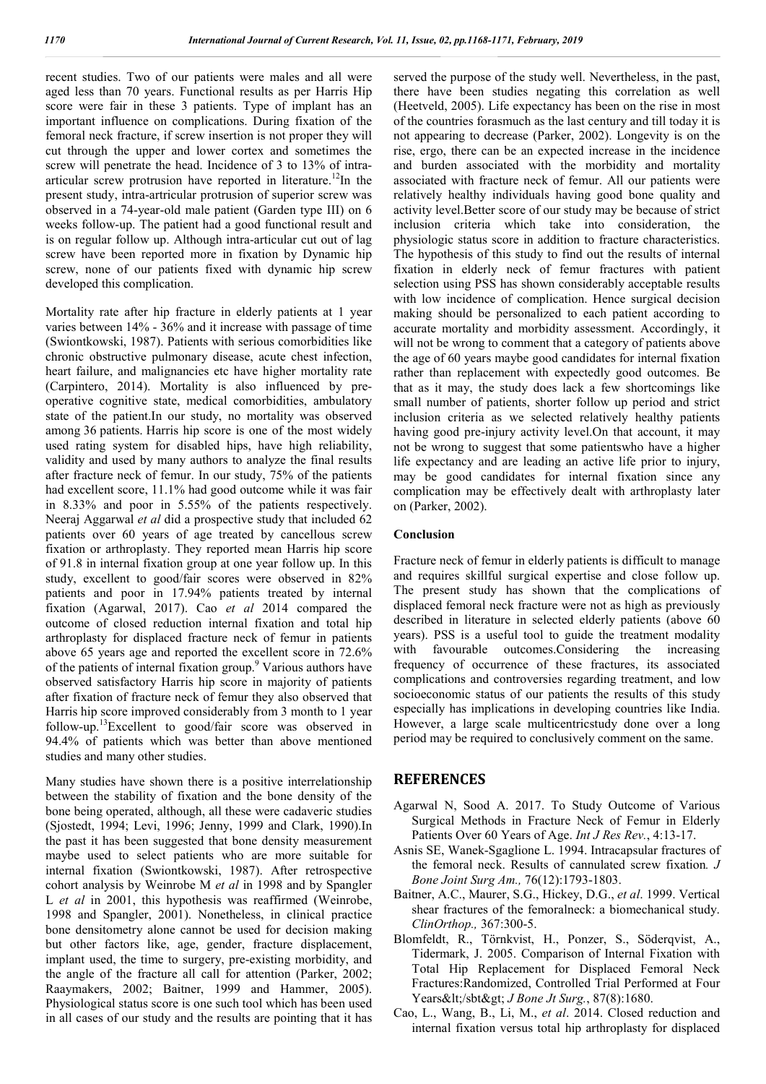recent studies. Two of our patients were males and all were aged less than 70 years. Functional results as per Harris Hip score were fair in these 3 patients. Type of implant has an important influence on complications. During fixation of the femoral neck fracture, if screw insertion is not proper they will cut through the upper and lower cortex and sometimes the screw will penetrate the head. Incidence of 3 to 13% of intraarticular screw protrusion have reported in literature.<sup>12</sup>In the present study, intra-artricular protrusion of superior screw was observed in a 74-year-old male patient (Garden type III) on 6 weeks follow-up. The patient had a good functional result and is on regular follow up. Although intra-articular cut out of lag screw have been reported more in fixation by Dynamic hip screw, none of our patients fixed with dynamic hip screw developed this complication.

Mortality rate after hip fracture in elderly patients at 1 year varies between 14% - 36% and it increase with passage of time (Swiontkowski, 1987). Patients with serious comorbidities like chronic obstructive pulmonary disease, acute chest infection, heart failure, and malignancies etc have higher mortality rate (Carpintero, 2014). Mortality is also influenced by preoperative cognitive state, medical comorbidities, ambulatory state of the patient.In our study, no mortality was observed among 36 patients. Harris hip score is one of the most widely used rating system for disabled hips, have high reliability, validity and used by many authors to analyze the final results after fracture neck of femur. In our study, 75% of the patients had excellent score, 11.1% had good outcome while it was fair in 8.33% and poor in 5.55% of the patients respectively. Neeraj Aggarwal *et al* did a prospective study that included 62 patients over 60 years of age treated by cancellous screw fixation or arthroplasty. They reported mean Harris hip score of 91.8 in internal fixation group at one year follow up. In this study, excellent to good/fair scores were observed in 82% patients and poor in 17.94% patients treated by internal fixation (Agarwal, 2017). Cao *et al* 2014 compared the outcome of closed reduction internal fixation and total hip arthroplasty for displaced fracture neck of femur in patients above 65 years age and reported the excellent score in 72.6% of the patients of internal fixation group.<sup>9</sup> Various authors have observed satisfactory Harris hip score in majority of patients after fixation of fracture neck of femur they also observed that Harris hip score improved considerably from 3 month to 1 year follow-up.13Excellent to good/fair score was observed in 94.4% of patients which was better than above mentioned studies and many other studies.

Many studies have shown there is a positive interrelationship between the stability of fixation and the bone density of the bone being operated, although, all these were cadaveric studies (Sjostedt, 1994; Levi, 1996; Jenny, 1999 and Clark, 1990).In the past it has been suggested that bone density measurement maybe used to select patients who are more suitable for internal fixation (Swiontkowski, 1987). After retrospective cohort analysis by Weinrobe M *et al* in 1998 and by Spangler L *et al* in 2001, this hypothesis was reaffirmed (Weinrobe, 1998 and Spangler, 2001). Nonetheless, in clinical practice bone densitometry alone cannot be used for decision making but other factors like, age, gender, fracture displacement, implant used, the time to surgery, pre-existing morbidity, and the angle of the fracture all call for attention (Parker, 2002; Raaymakers, 2002; Baitner, 1999 and Hammer, 2005). Physiological status score is one such tool which has been used in all cases of our study and the results are pointing that it has

served the purpose of the study well. Nevertheless, in the past, there have been studies negating this correlation as well (Heetveld, 2005). Life expectancy has been on the rise in most of the countries forasmuch as the last century and till today it is not appearing to decrease (Parker, 2002). Longevity is on the rise, ergo, there can be an expected increase in the incidence and burden associated with the morbidity and mortality associated with fracture neck of femur. All our patients were relatively healthy individuals having good bone quality and activity level.Better score of our study may be because of strict inclusion criteria which take into consideration, the physiologic status score in addition to fracture characteristics. The hypothesis of this study to find out the results of internal fixation in elderly neck of femur fractures with patient selection using PSS has shown considerably acceptable results with low incidence of complication. Hence surgical decision making should be personalized to each patient according to accurate mortality and morbidity assessment. Accordingly, it will not be wrong to comment that a category of patients above the age of 60 years maybe good candidates for internal fixation rather than replacement with expectedly good outcomes. Be that as it may, the study does lack a few shortcomings like small number of patients, shorter follow up period and strict inclusion criteria as we selected relatively healthy patients having good pre-injury activity level.On that account, it may not be wrong to suggest that some patientswho have a higher life expectancy and are leading an active life prior to injury, may be good candidates for internal fixation since any complication may be effectively dealt with arthroplasty later on (Parker, 2002).

#### **Conclusion**

Fracture neck of femur in elderly patients is difficult to manage and requires skillful surgical expertise and close follow up. The present study has shown that the complications of displaced femoral neck fracture were not as high as previously described in literature in selected elderly patients (above 60 years). PSS is a useful tool to guide the treatment modality with favourable outcomes.Considering the increasing frequency of occurrence of these fractures, its associated complications and controversies regarding treatment, and low socioeconomic status of our patients the results of this study especially has implications in developing countries like India. However, a large scale multicentricstudy done over a long period may be required to conclusively comment on the same.

#### **REFERENCES**

- Agarwal N, Sood A. 2017. To Study Outcome of Various Surgical Methods in Fracture Neck of Femur in Elderly Patients Over 60 Years of Age. *Int J Res Rev.*, 4:13-17.
- Asnis SE, Wanek-Sgaglione L. 1994. Intracapsular fractures of the femoral neck. Results of cannulated screw fixation*. J Bone Joint Surg Am.,* 76(12):1793-1803.
- Baitner, A.C., Maurer, S.G., Hickey, D.G., *et al*. 1999. Vertical shear fractures of the femoralneck: a biomechanical study. *ClinOrthop.,* 367:300-5.
- Blomfeldt, R., Törnkvist, H., Ponzer, S., Söderqvist, A., Tidermark, J. 2005. Comparison of Internal Fixation with Total Hip Replacement for Displaced Femoral Neck Fractures:Randomized, Controlled Trial Performed at Four Years</sbt&gt; *J Bone Jt Surg.*, 87(8):1680.
- Cao, L., Wang, B., Li, M., *et al*. 2014. Closed reduction and internal fixation versus total hip arthroplasty for displaced